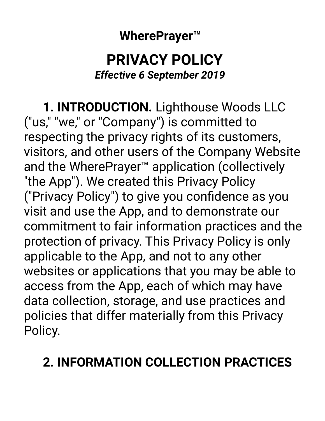**WherePrayer™** 

### **PRIVACY POLICY**  *Effective 6 September 2019*

 **1. INTRODUCTION.** Lighthouse Woods LLC ("us," "we," or "Company") is committed to respecting the privacy rights of its customers, visitors, and other users of the Company Website and the WherePrayer™ application (collectively "the App"). We created this Privacy Policy ("Privacy Policy") to give you confidence as you visit and use the App, and to demonstrate our commitment to fair information practices and the protection of privacy. This Privacy Policy is only applicable to the App, and not to any other websites or applications that you may be able to access from the App, each of which may have data collection, storage, and use practices and policies that differ materially from this Privacy Policy.

## **2. INFORMATION COLLECTION PRACTICES**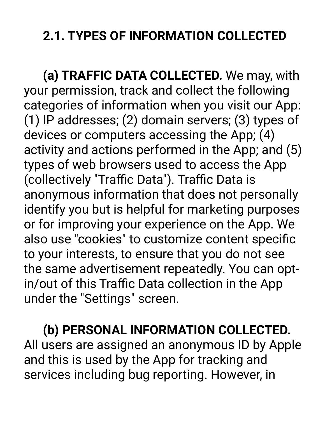# **2.1. TYPES OF INFORMATION COLLECTED**

 **(a) TRAFFIC DATA COLLECTED.** We may, with your permission, track and collect the following categories of information when you visit our App: (1) IP addresses; (2) domain servers; (3) types of devices or computers accessing the App; (4) activity and actions performed in the App; and (5) types of web browsers used to access the App (collectively "Traffic Data"). Traffic Data is anonymous information that does not personally identify you but is helpful for marketing purposes or for improving your experience on the App. We also use "cookies" to customize content specific to your interests, to ensure that you do not see the same advertisement repeatedly. You can optin/out of this Traffic Data collection in the App under the "Settings" screen.

**(b) PERSONAL INFORMATION COLLECTED.** All users are assigned an anonymous ID by Apple and this is used by the App for tracking and services including bug reporting. However, in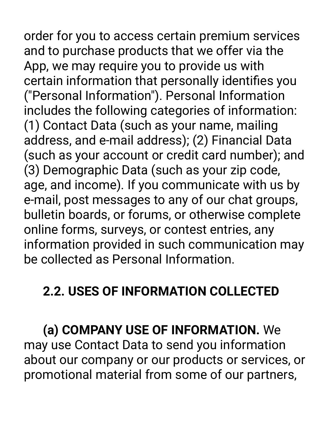order for you to access certain premium services and to purchase products that we offer via the App, we may require you to provide us with certain information that personally identifies you ("Personal Information"). Personal Information includes the following categories of information: (1) Contact Data (such as your name, mailing address, and e-mail address); (2) Financial Data (such as your account or credit card number); and (3) Demographic Data (such as your zip code, age, and income). If you communicate with us by e-mail, post messages to any of our chat groups, bulletin boards, or forums, or otherwise complete online forms, surveys, or contest entries, any information provided in such communication may be collected as Personal Information.

## **2.2. USES OF INFORMATION COLLECTED**

 **(a) COMPANY USE OF INFORMATION.** We may use Contact Data to send you information about our company or our products or services, or promotional material from some of our partners,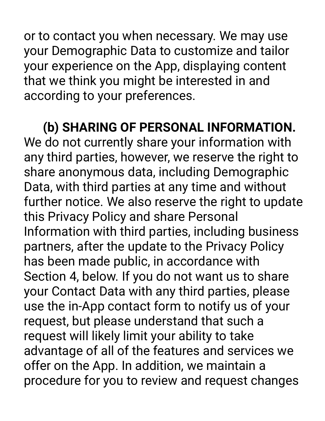or to contact you when necessary. We may use your Demographic Data to customize and tailor your experience on the App, displaying content that we think you might be interested in and according to your preferences.

**(b) SHARING OF PERSONAL INFORMATION.** We do not currently share your information with any third parties, however, we reserve the right to share anonymous data, including Demographic Data, with third parties at any time and without further notice. We also reserve the right to update this Privacy Policy and share Personal Information with third parties, including business partners, after the update to the Privacy Policy has been made public, in accordance with Section 4, below. If you do not want us to share your Contact Data with any third parties, please use the in-App contact form to notify us of your request, but please understand that such a request will likely limit your ability to take advantage of all of the features and services we offer on the App. In addition, we maintain a procedure for you to review and request changes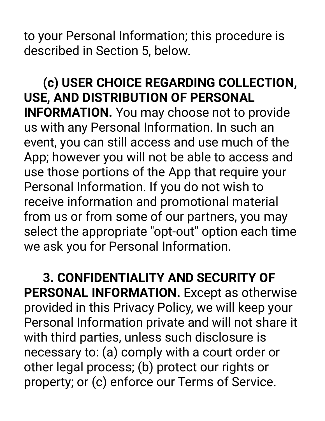to your Personal Information; this procedure is described in Section 5, below.

**(c) USER CHOICE REGARDING COLLECTION, USE, AND DISTRIBUTION OF PERSONAL INFORMATION.** You may choose not to provide us with any Personal Information. In such an event, you can still access and use much of the App; however you will not be able to access and use those portions of the App that require your Personal Information. If you do not wish to receive information and promotional material from us or from some of our partners, you may select the appropriate "opt-out" option each time we ask you for Personal Information.

 **3. CONFIDENTIALITY AND SECURITY OF PERSONAL INFORMATION.** Except as otherwise provided in this Privacy Policy, we will keep your Personal Information private and will not share it with third parties, unless such disclosure is necessary to: (a) comply with a court order or other legal process; (b) protect our rights or property; or (c) enforce our Terms of Service.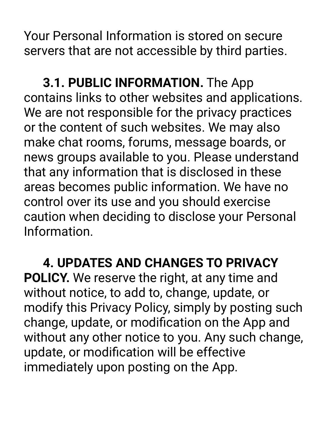Your Personal Information is stored on secure servers that are not accessible by third parties.

 **3.1. PUBLIC INFORMATION.** The App contains links to other websites and applications. We are not responsible for the privacy practices or the content of such websites. We may also make chat rooms, forums, message boards, or news groups available to you. Please understand that any information that is disclosed in these areas becomes public information. We have no control over its use and you should exercise caution when deciding to disclose your Personal Information.

 **4. UPDATES AND CHANGES TO PRIVACY POLICY.** We reserve the right, at any time and without notice, to add to, change, update, or modify this Privacy Policy, simply by posting such change, update, or modification on the App and without any other notice to you. Any such change, update, or modification will be effective immediately upon posting on the App.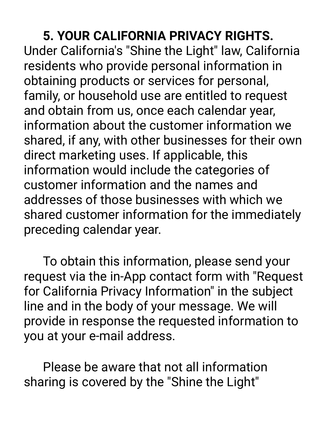#### **5. YOUR CALIFORNIA PRIVACY RIGHTS.**

Under California's "Shine the Light" law, California residents who provide personal information in obtaining products or services for personal, family, or household use are entitled to request and obtain from us, once each calendar year, information about the customer information we shared, if any, with other businesses for their own direct marketing uses. If applicable, this information would include the categories of customer information and the names and addresses of those businesses with which we shared customer information for the immediately preceding calendar year.

 To obtain this information, please send your request via the in-App contact form with "Request for California Privacy Information" in the subject line and in the body of your message. We will provide in response the requested information to you at your e-mail address.

 Please be aware that not all information sharing is covered by the "Shine the Light"